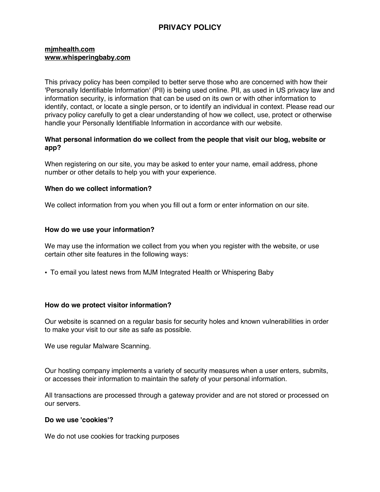# **PRIVACY POLICY**

#### **mjmhealth.com www.whisperingbaby.com**

This privacy policy has been compiled to better serve those who are concerned with how their 'Personally Identifiable Information' (PII) is being used online. PII, as used in US privacy law and information security, is information that can be used on its own or with other information to identify, contact, or locate a single person, or to identify an individual in context. Please read our privacy policy carefully to get a clear understanding of how we collect, use, protect or otherwise handle your Personally Identifiable Information in accordance with our website.

# **What personal information do we collect from the people that visit our blog, website or app?**

When registering on our site, you may be asked to enter your name, email address, phone number or other details to help you with your experience.

### **When do we collect information?**

We collect information from you when you fill out a form or enter information on our site.

#### **How do we use your information?**

We may use the information we collect from you when you register with the website, or use certain other site features in the following ways:

• To email you latest news from MJM Integrated Health or Whispering Baby

# **How do we protect visitor information?**

Our website is scanned on a regular basis for security holes and known vulnerabilities in order to make your visit to our site as safe as possible.

We use regular Malware Scanning.

Our hosting company implements a variety of security measures when a user enters, submits, or accesses their information to maintain the safety of your personal information.

All transactions are processed through a gateway provider and are not stored or processed on our servers.

#### **Do we use 'cookies'?**

We do not use cookies for tracking purposes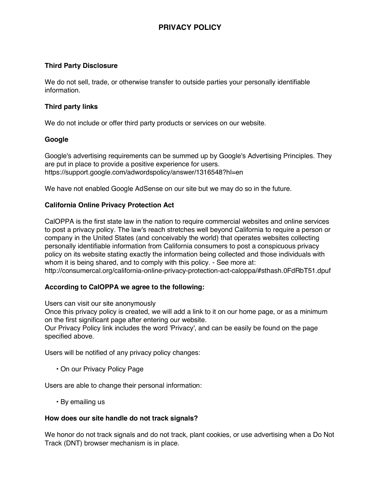# **Third Party Disclosure**

We do not sell, trade, or otherwise transfer to outside parties your personally identifiable information.

# **Third party links**

We do not include or offer third party products or services on our website.

# **Google**

Google's advertising requirements can be summed up by Google's Advertising Principles. They are put in place to provide a positive experience for users. https://support.google.com/adwordspolicy/answer/1316548?hl=en

We have not enabled Google AdSense on our site but we may do so in the future.

# **California Online Privacy Protection Act**

CalOPPA is the first state law in the nation to require commercial websites and online services to post a privacy policy. The law's reach stretches well beyond California to require a person or company in the United States (and conceivably the world) that operates websites collecting personally identifiable information from California consumers to post a conspicuous privacy policy on its website stating exactly the information being collected and those individuals with whom it is being shared, and to comply with this policy. - See more at: http://consumercal.org/california-online-privacy-protection-act-caloppa/#sthash.0FdRbT51.dpuf

#### **According to CalOPPA we agree to the following:**

Users can visit our site anonymously

Once this privacy policy is created, we will add a link to it on our home page, or as a minimum on the first significant page after entering our website.

Our Privacy Policy link includes the word 'Privacy', and can be easily be found on the page specified above.

Users will be notified of any privacy policy changes:

• On our Privacy Policy Page

Users are able to change their personal information:

• By emailing us

#### **How does our site handle do not track signals?**

We honor do not track signals and do not track, plant cookies, or use advertising when a Do Not Track (DNT) browser mechanism is in place.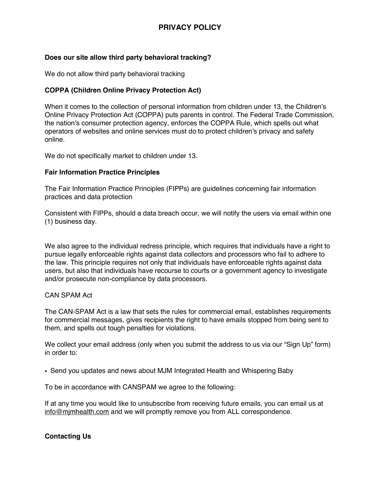# **PRIVACY POLICY**

# **Does our site allow third party behavioral tracking?**

We do not allow third party behavioral tracking

# **COPPA (Children Online Privacy Protection Act)**

When it comes to the collection of personal information from children under 13, the Children's Online Privacy Protection Act (COPPA) puts parents in control. The Federal Trade Commission, the nation's consumer protection agency, enforces the COPPA Rule, which spells out what operators of websites and online services must do to protect children's privacy and safety online.

We do not specifically market to children under 13.

#### **Fair Information Practice Principles**

The Fair Information Practice Principles (FIPPs) are guidelines concerning fair information practices and data protection

Consistent with FIPPs, should a data breach occur, we will notify the users via email within one (1) business day.

We also agree to the individual redress principle, which requires that individuals have a right to pursue legally enforceable rights against data collectors and processors who fail to adhere to the law. This principle requires not only that individuals have enforceable rights against data users, but also that individuals have recourse to courts or a government agency to investigate and/or prosecute non-compliance by data processors.

#### CAN SPAM Act

The CAN-SPAM Act is a law that sets the rules for commercial email, establishes requirements for commercial messages, gives recipients the right to have emails stopped from being sent to them, and spells out tough penalties for violations.

We collect your email address (only when you submit the address to us via our "Sign Up" form) in order to:

• Send you updates and news about MJM Integrated Health and Whispering Baby

To be in accordance with CANSPAM we agree to the following:

If at any time you would like to unsubscribe from receiving future emails, you can email us at info@mjmhealth.com and we will promptly remove you from ALL correspondence.

#### **Contacting Us**